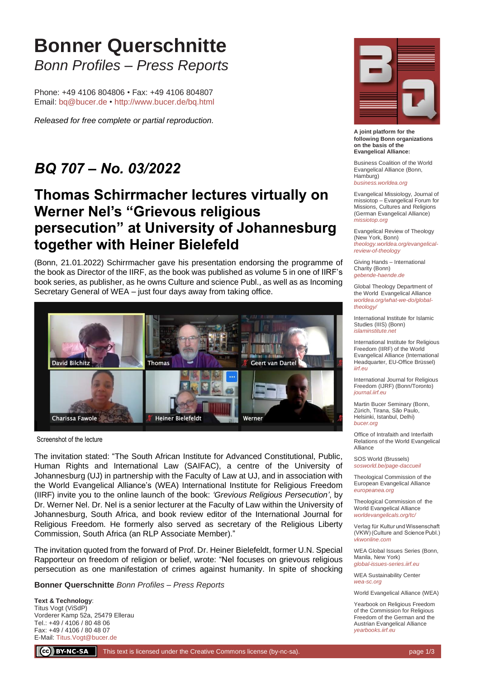# **Bonner Querschnitte** *Bonn Profiles – Press Reports*

Phone: +49 4106 804806 • Fax: +49 4106 804807 Email: [bq@bucer.de](mailto:bq@bucer.de?subject=Frage%20zu%20Bonner%20Querschnitte) • <http://www.bucer.de/bq.html>

*Released for free complete or partial reproduction.*

### *BQ 707 – No. 03/2022*

#### **Thomas Schirrmacher lectures virtually on Werner Nel's "Grievous religious persecution" at University of Johannesburg together with Heiner Bielefeld**

(Bonn, 21.01.2022) Schirrmacher gave his presentation endorsing the programme of the book as Director of the IIRF, as the book was published as volume 5 in one of IIRF's book series, as publisher, as he owns Culture and science Publ., as well as as Incoming Secretary General of WEA – just four days away from taking office.



Screenshot of the lecture

The invitation stated: "The South African Institute for Advanced Constitutional, Public, Human Rights and International Law (SAIFAC), a centre of the University of Johannesburg (UJ) in partnership with the Faculty of Law at UJ, and in association with the World Evangelical Alliance's (WEA) International Institute for Religious Freedom (IIRF) invite you to the online launch of the book: *'Grevious Religious Persecution'*, by Dr. Werner Nel. Dr. Nel is a senior lecturer at the Faculty of Law within the University of Johannesburg, South Africa, and book review editor of the International Journal for Religious Freedom. He formerly also served as secretary of the Religious Liberty Commission, South Africa (an RLP Associate Member)."

The invitation quoted from the forward of Prof. Dr. Heiner Bielefeldt, former U.N. Special Rapporteur on freedom of religion or belief, wrote: "Nel focuses on grievous religious persecution as one manifestation of crimes against humanity. In spite of shocking

**Bonner Querschnitte** *Bonn Profiles – Press Reports*

**Text & Technology**: Titus Vogt (ViSdP) Vorderer Kamp 52a, 25479 Ellerau Tel.: +49 / 4106 / 80 48 06 Fax: +49 / 4106 / 80 48 07 E-Mail: [Titus.Vogt@bucer.de](mailto:Titus.Vogt@bucer.de)



**A joint platform for the following Bonn organizations on the basis of the Evangelical Alliance:**

Business Coalition of the World Evangelical Alliance (Bonn, Hamburg) *[business.worldea.org](https://business.worldea.org/)*

Evangelical Missiology, Journal of missiotop – Evangelical Forum for Missions, Cultures and Religions (German Evangelical Alliance) *[missiotop.org](http://www.missiotop.org/)*

Evangelical Review of Theology (New York, Bonn) *[theology.worldea.org/evangelical](https://theology.worldea.org/evangelical-review-of-theology/)[review-of-theology](https://theology.worldea.org/evangelical-review-of-theology/)*

Giving Hands – International Charity (Bonn) *[gebende-haende.de](http://www.gebende-haende.de/)*

Global Theology Department of the World Evangelical Alliance *[worldea.org/what-we-do/global](https://worldea.org/what-we-do/global-theology/)[theology/](https://worldea.org/what-we-do/global-theology/)*

International Institute for Islamic Studies (IIIS) (Bonn) *[islaminstitute.net](http://www.islaminstitute.net/)*

International Institute for Religious Freedom (IIRF) of the World Evangelical Alliance (International Headquarter, EU-Office Brüssel) *[iirf.eu](http://www.iirf.eu/)*

International Journal for Religious Freedom (IJRF) (Bonn/Toronto) *[journal.iirf.eu](http://journal.iirf.eu/)*

Martin Bucer Seminary (Bonn, Zürich, Tirana, São Paulo, Helsinki, Istanbul, Delhi) *[bucer.org](http://www.bucer.org/)*

Office of Intrafaith and Interfaith Relations of the World Evangelical Alliance

SOS World (Brussels) *[sosworld.be/page-daccueil](http://www.sosworld.be/page-daccueil/)*

Theological Commission of the European Evangelical Alliance *[europeanea.org](http://www.europeanea.org/)*

Theological Commission of the World Evangelical Alliance *[worldevangelicals.org/tc/](http://www.worldevangelicals.org/tc/)*

Verlag für Kultur und Wissenschaft (VKW) (Culture and Science Publ.) *[vkwonline.com](http://www.vkwonline.com/)*

WEA Global Issues Series (Bonn, Manila, New York) *[global-issues-series.iirf.eu](https://iirf.eu/journal-books/global-issues-series/)*

WEA Sustainability Center *[wea-sc.org](http://www.wea-sc.org/)*

World Evangelical Alliance (WEA)

Yearbook on Religious Freedom of the Commission for Religious Freedom of the German and the Austrian Evangelical Alliance *[yearbooks.iirf.eu](http://yearbooks.iirf.eu/)*

CC BY-NC-SA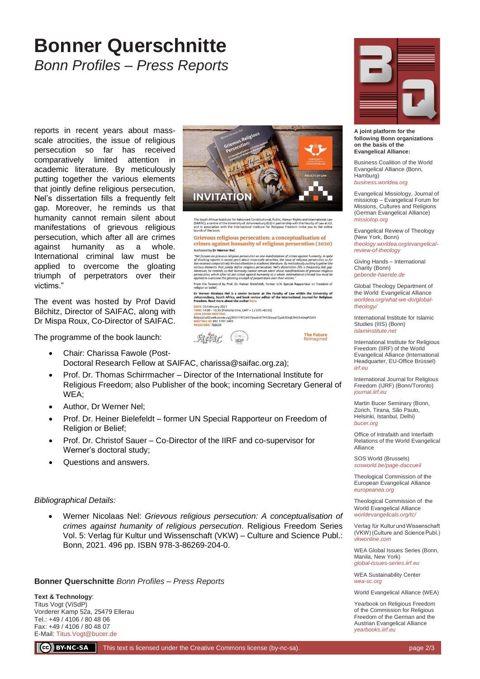## **Bonner Querschnitte** *Bonn Profiles – Press Reports*

reports in recent years about massscale atrocities, the issue of religious persecution so far has received comparatively limited attention in academic literature. By meticulously putting together the various elements that jointly define religious persecution, Nel's dissertation fills a frequently felt gap. Moreover, he reminds us that humanity cannot remain silent about manifestations of grievous religious persecution, which after all are crimes against humanity as a whole. International criminal law must be applied to overcome the gloating triumph of perpetrators over their victims."

The event was hosted by Prof David Bilchitz, Director of SAIFAC, along with Dr Mispa Roux, Co-Director of SAIFAC.

The programme of the book launch:

- Chair: Charissa Fawole (Post-Doctoral Research Fellow at SAIFAC, charissa@saifac.org.za);
- Prof. Dr. Thomas Schirrmacher Director of the International Institute for Religious Freedom; also Publisher of the book; incoming Secretary General of WEA;
- Author, Dr Werner Nel;
- Prof. Dr. Heiner Bielefeldt former UN Special Rapporteur on Freedom of Religion or Belief;
- Prof. Dr. Christof Sauer Co-Director of the IIRF and co-supervisor for Werner's doctoral study;
- Questions and answers.

#### *Bibliographical Details:*

• Werner Nicolaas Nel: *Grievous religious persecution: A conceptualisation of crimes against humanity of religious persecution*. Religious Freedom Series Vol. 5: Verlag für Kultur und Wissenschaft (VKW) – Culture and Science Publ.: Bonn, 2021. 496 pp. ISBN 978-3-86269-204-0.

**Bonner Querschnitte** *Bonn Profiles – Press Reports*

**Text & Technology**: Titus Vogt (ViSdP) Vorderer Kamp 52a, 25479 Ellerau Tel.: +49 / 4106 / 80 48 06 Fax: +49 / 4106 / 80 48 07 E-Mail: [Titus.Vogt@bucer.de](mailto:Titus.Vogt@bucer.de)



The South African Institute for Advanced Constitutional, Public, Human Rights and International Law<br>(SAIFAC), a centre of the University of Johannesburg (UJ) in partnership with the Faculty of Law at UJ,<br>and in association

#### Grievous religious persecution: a conceptualisation of crimes against humanity of religious persecution (2020) Authored by Dr Werner Nel.

Authored by **IV Werner Nel.**<br>  $\blacksquare$  The Counter of the Counterpart of the Counterpart of the Counterpart of the Counterpart of the Counterpart of the Counterpart of the Counterpart of the Counterpart of the Counterpart o

From the foreword by Prof. Dr. Heiner Bielefeldt, former U.N. Special Rapporteur on fre religion or belief.<br>Dr Werner Nicolaas Nel is a senior lecturer at the Faculty of Law within the University of<br>Johannesburg, South Africa, and book review editor of the International Journal for Religious<br>Freedom. Read mor

**DATE:** 25 February 2021<br>TIME: 14:00 - 15:30 (Pretoria time, GMT + 2 / UTC+02:00)

IMEE: 11:000 = 15:30 (Pretoria Gime, Gm1 + z / OTC+02:00)<br>https://us02web.zoom.us/j/89211972493?pwd=STM1ZEswaTZyaXZOcjE2NG9vUnpPZz09<br>MEETING (D: 892 1197 2493<br>PASSCODE: 768608





**A joint platform for the following Bonn organizations on the basis of the Evangelical Alliance:**

Business Coalition of the World Evangelical Alliance (Bonn, Hamburg) *[business.worldea.org](https://business.worldea.org/)*

Evangelical Missiology, Journal of missiotop – Evangelical Forum for Missions, Cultures and Religions (German Evangelical Alliance) *[missiotop.org](http://www.missiotop.org/)*

Evangelical Review of Theology (New York, Bonn) *[theology.worldea.org/evangelical](https://theology.worldea.org/evangelical-review-of-theology/)[review-of-theology](https://theology.worldea.org/evangelical-review-of-theology/)*

Giving Hands – International Charity (Bonn) *[gebende-haende.de](http://www.gebende-haende.de/)*

Global Theology Department of the World Evangelical Alliance *[worldea.org/what-we-do/global](https://worldea.org/what-we-do/global-theology/)[theology/](https://worldea.org/what-we-do/global-theology/)*

International Institute for Islamic Studies (IIIS) (Bonn) *[islaminstitute.net](http://www.islaminstitute.net/)*

International Institute for Religious Freedom (IIRF) of the World Evangelical Alliance (International Headquarter, EU-Office Brüssel) *[iirf.eu](http://www.iirf.eu/)*

International Journal for Religious Freedom (IJRF) (Bonn/Toronto) *[journal.iirf.eu](http://journal.iirf.eu/)*

Martin Bucer Seminary (Bonn, Zürich, Tirana, São Paulo, Helsinki, Istanbul, Delhi) *[bucer.org](http://www.bucer.org/)*

Office of Intrafaith and Interfaith Relations of the World Evangelical Alliance

SOS World (Brussels) *[sosworld.be/page-daccueil](http://www.sosworld.be/page-daccueil/)*

Theological Commission of the European Evangelical Alliance *[europeanea.org](http://www.europeanea.org/)*

Theological Commission of the World Evangelical Alliance *[worldevangelicals.org/tc/](http://www.worldevangelicals.org/tc/)*

Verlag für Kultur und Wissenschaft (VKW) (Culture and Science Publ.) *[vkwonline.com](http://www.vkwonline.com/)*

WEA Global Issues Series (Bonn, Manila, New York) *[global-issues-series.iirf.eu](https://iirf.eu/journal-books/global-issues-series/)*

WEA Sustainability Center *[wea-sc.org](http://www.wea-sc.org/)*

World Evangelical Alliance (WEA)

Yearbook on Religious Freedom of the Commission for Religious Freedom of the German and the Austrian Evangelical Alliance *[yearbooks.iirf.eu](http://yearbooks.iirf.eu/)*